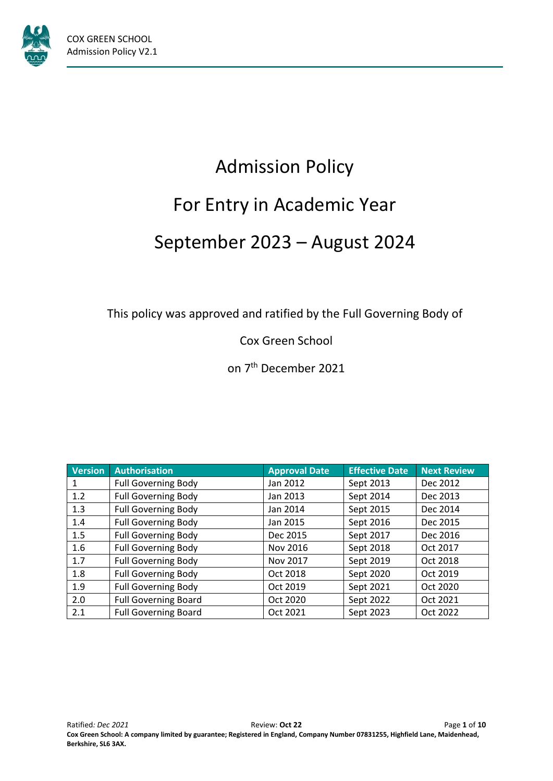

# Admission Policy For Entry in Academic Year September 2023 – August 2024

This policy was approved and ratified by the Full Governing Body of

Cox Green School

on 7<sup>th</sup> December 2021

| <b>Version</b> | <b>Authorisation</b>        | <b>Approval Date</b> | <b>Effective Date</b> | <b>Next Review</b> |
|----------------|-----------------------------|----------------------|-----------------------|--------------------|
|                | <b>Full Governing Body</b>  | Jan 2012             | Sept 2013             | Dec 2012           |
| 1.2            | <b>Full Governing Body</b>  | Jan 2013             | Sept 2014             | Dec 2013           |
| 1.3            | <b>Full Governing Body</b>  | Jan 2014             | Sept 2015             | Dec 2014           |
| 1.4            | <b>Full Governing Body</b>  | Jan 2015             | Sept 2016             | Dec 2015           |
| 1.5            | <b>Full Governing Body</b>  | Dec 2015             | Sept 2017             | Dec 2016           |
| 1.6            | <b>Full Governing Body</b>  | Nov 2016             | Sept 2018             | Oct 2017           |
| 1.7            | <b>Full Governing Body</b>  | Nov 2017             | Sept 2019             | Oct 2018           |
| 1.8            | <b>Full Governing Body</b>  | Oct 2018             | Sept 2020             | Oct 2019           |
| 1.9            | <b>Full Governing Body</b>  | Oct 2019             | Sept 2021             | Oct 2020           |
| 2.0            | <b>Full Governing Board</b> | Oct 2020             | Sept 2022             | Oct 2021           |
| 2.1            | <b>Full Governing Board</b> | Oct 2021             | Sept 2023             | Oct 2022           |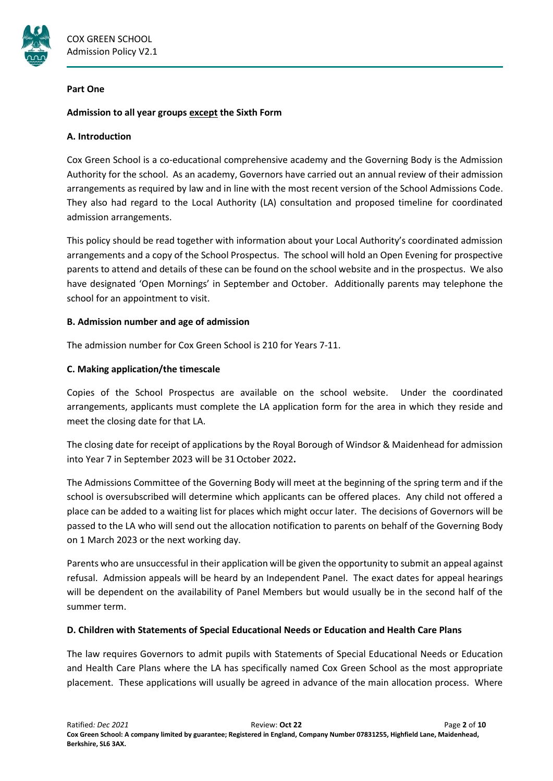

#### **Part One**

## **Admission to all year groups except the Sixth Form**

## **A. Introduction**

Cox Green School is a co-educational comprehensive academy and the Governing Body is the Admission Authority for the school. As an academy, Governors have carried out an annual review of their admission arrangements as required by law and in line with the most recent version of the School Admissions Code. They also had regard to the Local Authority (LA) consultation and proposed timeline for coordinated admission arrangements.

This policy should be read together with information about your Local Authority's coordinated admission arrangements and a copy of the School Prospectus. The school will hold an Open Evening for prospective parents to attend and details of these can be found on the school website and in the prospectus. We also have designated 'Open Mornings' in September and October. Additionally parents may telephone the school for an appointment to visit.

## **B. Admission number and age of admission**

The admission number for Cox Green School is 210 for Years 7-11.

## **C. Making application/the timescale**

Copies of the School Prospectus are available on the school website. Under the coordinated arrangements, applicants must complete the LA application form for the area in which they reside and meet the closing date for that LA.

The closing date for receipt of applications by the Royal Borough of Windsor & Maidenhead for admission into Year 7 in September 2023 will be 31October 2022**.**

The Admissions Committee of the Governing Body will meet at the beginning of the spring term and if the school is oversubscribed will determine which applicants can be offered places. Any child not offered a place can be added to a waiting list for places which might occur later. The decisions of Governors will be passed to the LA who will send out the allocation notification to parents on behalf of the Governing Body on 1 March 2023 or the next working day.

Parents who are unsuccessful in their application will be given the opportunity to submit an appeal against refusal. Admission appeals will be heard by an Independent Panel. The exact dates for appeal hearings will be dependent on the availability of Panel Members but would usually be in the second half of the summer term.

#### **D. Children with Statements of Special Educational Needs or Education and Health Care Plans**

The law requires Governors to admit pupils with Statements of Special Educational Needs or Education and Health Care Plans where the LA has specifically named Cox Green School as the most appropriate placement. These applications will usually be agreed in advance of the main allocation process. Where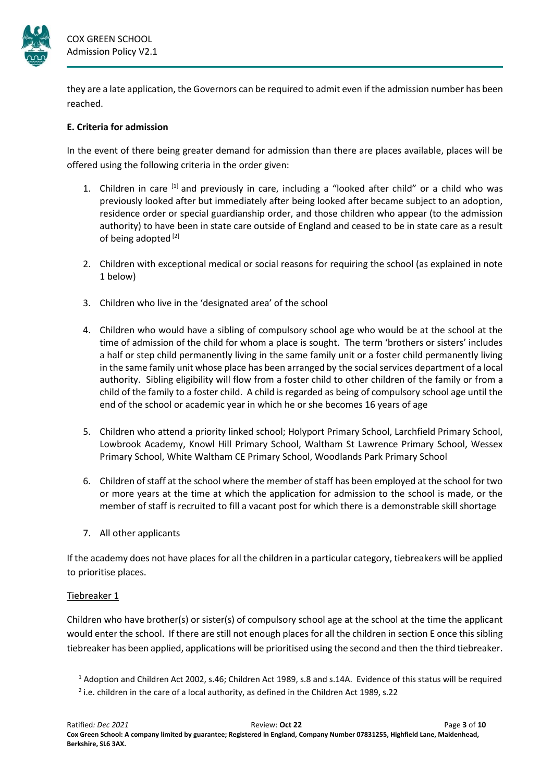

they are a late application, the Governors can be required to admit even if the admission number has been reached.

## **E. Criteria for admission**

In the event of there being greater demand for admission than there are places available, places will be offered using the following criteria in the order given:

- 1. Children in care  $<sup>[1]</sup>$  and previously in care, including a "looked after child" or a child who was</sup> previously looked after but immediately after being looked after became subject to an adoption, residence order or special guardianship order, and those children who appear (to the admission authority) to have been in state care outside of England and ceased to be in state care as a result of being adopted<sup>[2]</sup>
- 2. Children with exceptional medical or social reasons for requiring the school (as explained in note 1 below)
- 3. Children who live in the 'designated area' of the school
- 4. Children who would have a sibling of compulsory school age who would be at the school at the time of admission of the child for whom a place is sought. The term 'brothers or sisters' includes a half or step child permanently living in the same family unit or a foster child permanently living in the same family unit whose place has been arranged by the social services department of a local authority. Sibling eligibility will flow from a foster child to other children of the family or from a child of the family to a foster child. A child is regarded as being of compulsory school age until the end of the school or academic year in which he or she becomes 16 years of age
- 5. Children who attend a priority linked school; Holyport Primary School, Larchfield Primary School, Lowbrook Academy, Knowl Hill Primary School, Waltham St Lawrence Primary School, Wessex Primary School, White Waltham CE Primary School, Woodlands Park Primary School
- 6. Children of staff at the school where the member of staff has been employed at the school for two or more years at the time at which the application for admission to the school is made, or the member of staff is recruited to fill a vacant post for which there is a demonstrable skill shortage
- 7. All other applicants

If the academy does not have places for all the children in a particular category, tiebreakers will be applied to prioritise places.

#### Tiebreaker 1

Children who have brother(s) or sister(s) of compulsory school age at the school at the time the applicant would enter the school. If there are still not enough places for all the children in section E once this sibling tiebreaker has been applied, applications will be prioritised using the second and then the third tiebreaker.

<sup>1</sup> Adoption and Children Act 2002, s.46; Children Act 1989, s.8 and s.14A. Evidence of this status will be required 2 i.e. children in the care of a local authority, as defined in the Children Act 1989, s.22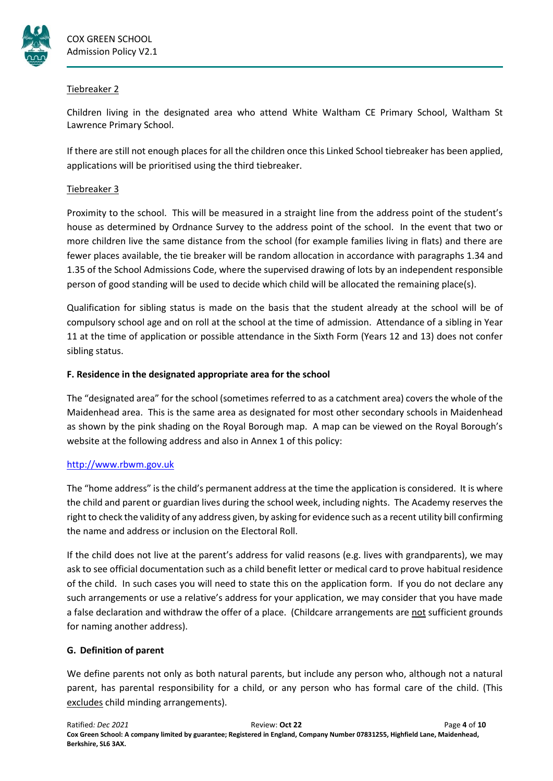

## Tiebreaker 2

Children living in the designated area who attend White Waltham CE Primary School, Waltham St Lawrence Primary School.

If there are still not enough places for all the children once this Linked School tiebreaker has been applied, applications will be prioritised using the third tiebreaker.

# Tiebreaker 3

Proximity to the school. This will be measured in a straight line from the address point of the student's house as determined by Ordnance Survey to the address point of the school. In the event that two or more children live the same distance from the school (for example families living in flats) and there are fewer places available, the tie breaker will be random allocation in accordance with paragraphs 1.34 and 1.35 of the School Admissions Code, where the supervised drawing of lots by an independent responsible person of good standing will be used to decide which child will be allocated the remaining place(s).

Qualification for sibling status is made on the basis that the student already at the school will be of compulsory school age and on roll at the school at the time of admission. Attendance of a sibling in Year 11 at the time of application or possible attendance in the Sixth Form (Years 12 and 13) does not confer sibling status.

# **F. Residence in the designated appropriate area for the school**

The "designated area" for the school (sometimes referred to as a catchment area) covers the whole of the Maidenhead area. This is the same area as designated for most other secondary schools in Maidenhead as shown by the pink shading on the Royal Borough map. A map can be viewed on the Royal Borough's website at the following address and also in Annex 1 of this policy:

# [http://www.rbwm.gov.uk](http://www.rbwm.gov.uk/)

The "home address" is the child's permanent address at the time the application is considered. It is where the child and parent or guardian lives during the school week, including nights. The Academy reserves the right to check the validity of any address given, by asking for evidence such as a recent utility bill confirming the name and address or inclusion on the Electoral Roll.

If the child does not live at the parent's address for valid reasons (e.g. lives with grandparents), we may ask to see official documentation such as a child benefit letter or medical card to prove habitual residence of the child. In such cases you will need to state this on the application form. If you do not declare any such arrangements or use a relative's address for your application, we may consider that you have made a false declaration and withdraw the offer of a place. (Childcare arrangements are not sufficient grounds for naming another address).

# **G. Definition of parent**

We define parents not only as both natural parents, but include any person who, although not a natural parent, has parental responsibility for a child, or any person who has formal care of the child. (This excludes child minding arrangements).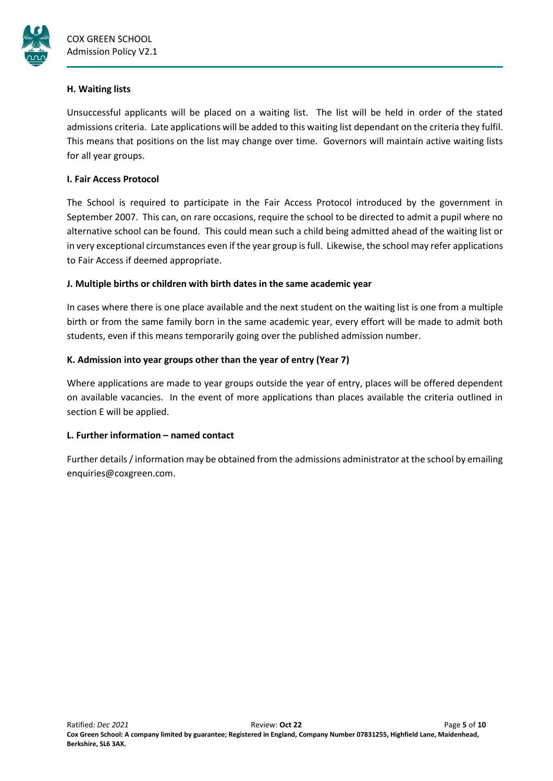

## **H. Waiting lists**

Unsuccessful applicants will be placed on a waiting list. The list will be held in order of the stated admissions criteria. Late applications will be added to this waiting list dependant on the criteria they fulfil. This means that positions on the list may change over time. Governors will maintain active waiting lists for all year groups.

## **I. Fair Access Protocol**

The School is required to participate in the Fair Access Protocol introduced by the government in September 2007. This can, on rare occasions, require the school to be directed to admit a pupil where no alternative school can be found. This could mean such a child being admitted ahead of the waiting list or in very exceptional circumstances even if the year group is full. Likewise, the school may refer applications to Fair Access if deemed appropriate.

# **J. Multiple births or children with birth dates in the same academic year**

In cases where there is one place available and the next student on the waiting list is one from a multiple birth or from the same family born in the same academic year, every effort will be made to admit both students, even if this means temporarily going over the published admission number.

# **K. Admission into year groups other than the year of entry (Year 7)**

Where applications are made to year groups outside the year of entry, places will be offered dependent on available vacancies. In the event of more applications than places available the criteria outlined in section E will be applied.

# **L. Further information – named contact**

Further details / information may be obtained from the admissions administrator at the school by emailing enquiries@coxgreen.com.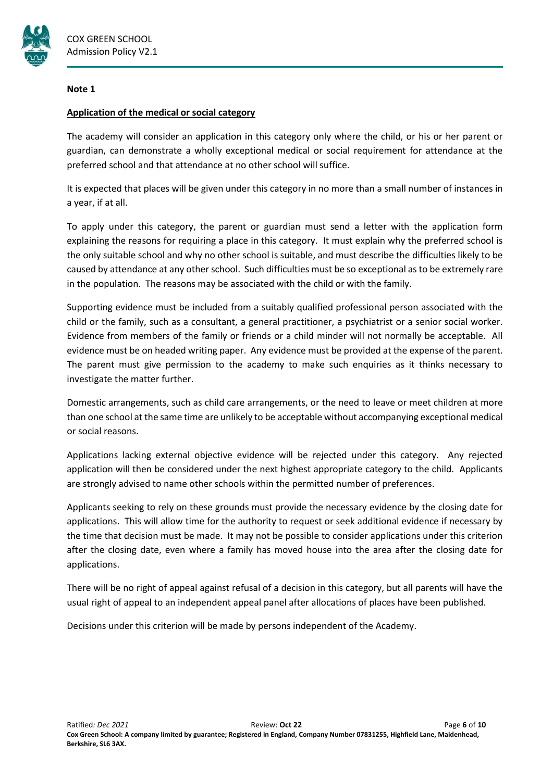

#### **Note 1**

## **Application of the medical or social category**

The academy will consider an application in this category only where the child, or his or her parent or guardian, can demonstrate a wholly exceptional medical or social requirement for attendance at the preferred school and that attendance at no other school will suffice.

It is expected that places will be given under this category in no more than a small number of instances in a year, if at all.

To apply under this category, the parent or guardian must send a letter with the application form explaining the reasons for requiring a place in this category. It must explain why the preferred school is the only suitable school and why no other school is suitable, and must describe the difficulties likely to be caused by attendance at any other school. Such difficulties must be so exceptional as to be extremely rare in the population. The reasons may be associated with the child or with the family.

Supporting evidence must be included from a suitably qualified professional person associated with the child or the family, such as a consultant, a general practitioner, a psychiatrist or a senior social worker. Evidence from members of the family or friends or a child minder will not normally be acceptable. All evidence must be on headed writing paper. Any evidence must be provided at the expense of the parent. The parent must give permission to the academy to make such enquiries as it thinks necessary to investigate the matter further.

Domestic arrangements, such as child care arrangements, or the need to leave or meet children at more than one school at the same time are unlikely to be acceptable without accompanying exceptional medical or social reasons.

Applications lacking external objective evidence will be rejected under this category. Any rejected application will then be considered under the next highest appropriate category to the child. Applicants are strongly advised to name other schools within the permitted number of preferences.

Applicants seeking to rely on these grounds must provide the necessary evidence by the closing date for applications. This will allow time for the authority to request or seek additional evidence if necessary by the time that decision must be made. It may not be possible to consider applications under this criterion after the closing date, even where a family has moved house into the area after the closing date for applications.

There will be no right of appeal against refusal of a decision in this category, but all parents will have the usual right of appeal to an independent appeal panel after allocations of places have been published.

Decisions under this criterion will be made by persons independent of the Academy.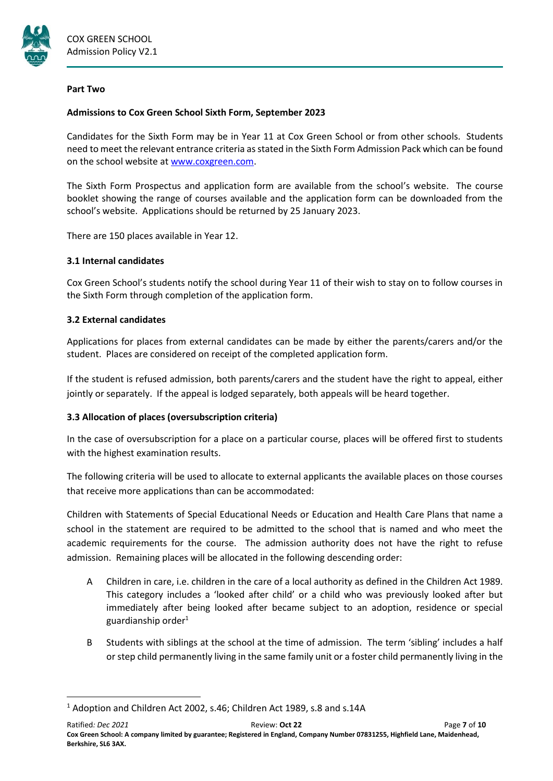

#### **Part Two**

## **Admissions to Cox Green School Sixth Form, September 2023**

Candidates for the Sixth Form may be in Year 11 at Cox Green School or from other schools. Students need to meet the relevant entrance criteria as stated in the Sixth Form Admission Pack which can be found on the school website at [www.coxgreen.com.](http://www.coxgreen.com/)

The Sixth Form Prospectus and application form are available from the school's website. The course booklet showing the range of courses available and the application form can be downloaded from the school's website. Applications should be returned by 25 January 2023.

There are 150 places available in Year 12.

## **3.1 Internal candidates**

Cox Green School's students notify the school during Year 11 of their wish to stay on to follow courses in the Sixth Form through completion of the application form.

## **3.2 External candidates**

**.** 

Applications for places from external candidates can be made by either the parents/carers and/or the student. Places are considered on receipt of the completed application form.

If the student is refused admission, both parents/carers and the student have the right to appeal, either jointly or separately. If the appeal is lodged separately, both appeals will be heard together.

# **3.3 Allocation of places (oversubscription criteria)**

In the case of oversubscription for a place on a particular course, places will be offered first to students with the highest examination results.

The following criteria will be used to allocate to external applicants the available places on those courses that receive more applications than can be accommodated:

Children with Statements of Special Educational Needs or Education and Health Care Plans that name a school in the statement are required to be admitted to the school that is named and who meet the academic requirements for the course. The admission authority does not have the right to refuse admission. Remaining places will be allocated in the following descending order:

- A Children in care, i.e. children in the care of a local authority as defined in the Children Act 1989. This category includes a 'looked after child' or a child who was previously looked after but immediately after being looked after became subject to an adoption, residence or special guardianship order $1$
- B Students with siblings at the school at the time of admission. The term 'sibling' includes a half or step child permanently living in the same family unit or a foster child permanently living in the

<sup>&</sup>lt;sup>1</sup> Adoption and Children Act 2002, s.46; Children Act 1989, s.8 and s.14A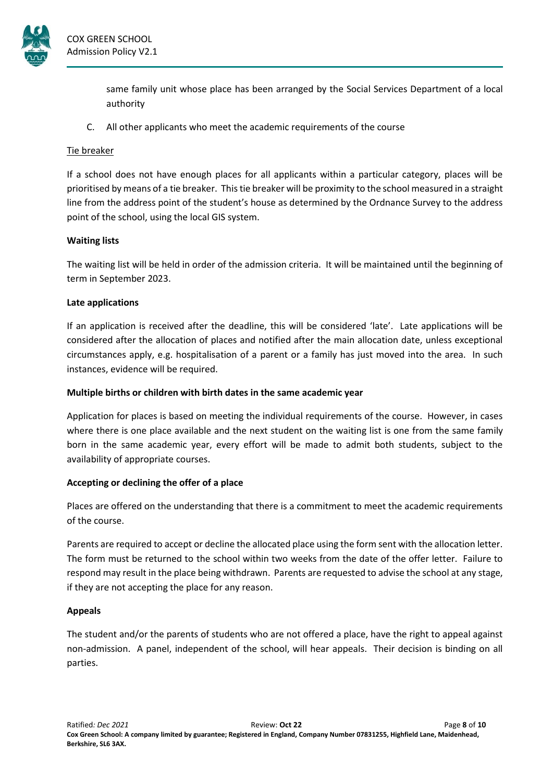

same family unit whose place has been arranged by the Social Services Department of a local authority

C. All other applicants who meet the academic requirements of the course

# Tie breaker

If a school does not have enough places for all applicants within a particular category, places will be prioritised by means of a tie breaker. Thistie breaker will be proximity to the school measured in a straight line from the address point of the student's house as determined by the Ordnance Survey to the address point of the school, using the local GIS system.

## **Waiting lists**

The waiting list will be held in order of the admission criteria. It will be maintained until the beginning of term in September 2023.

## **Late applications**

If an application is received after the deadline, this will be considered 'late'. Late applications will be considered after the allocation of places and notified after the main allocation date, unless exceptional circumstances apply, e.g. hospitalisation of a parent or a family has just moved into the area. In such instances, evidence will be required.

### **Multiple births or children with birth dates in the same academic year**

Application for places is based on meeting the individual requirements of the course. However, in cases where there is one place available and the next student on the waiting list is one from the same family born in the same academic year, every effort will be made to admit both students, subject to the availability of appropriate courses.

# **Accepting or declining the offer of a place**

Places are offered on the understanding that there is a commitment to meet the academic requirements of the course.

Parents are required to accept or decline the allocated place using the form sent with the allocation letter. The form must be returned to the school within two weeks from the date of the offer letter. Failure to respond may result in the place being withdrawn. Parents are requested to advise the school at any stage, if they are not accepting the place for any reason.

# **Appeals**

The student and/or the parents of students who are not offered a place, have the right to appeal against non-admission. A panel, independent of the school, will hear appeals. Their decision is binding on all parties.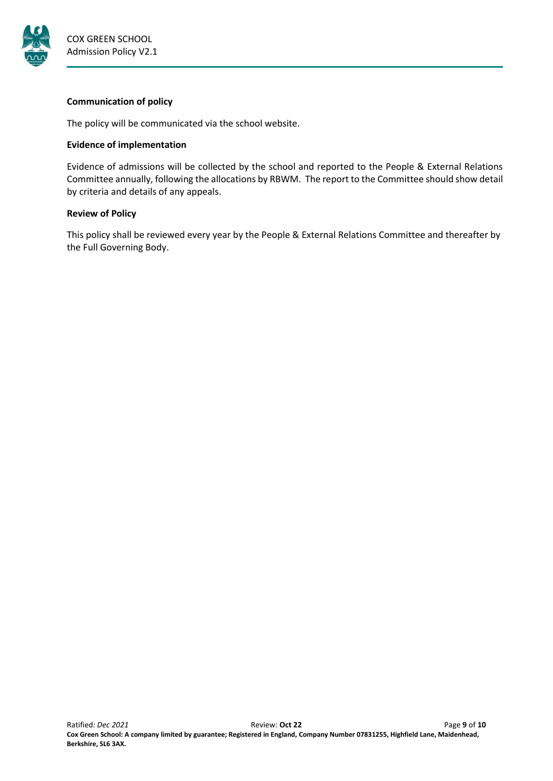

### **Communication of policy**

The policy will be communicated via the school website.

## **Evidence of implementation**

Evidence of admissions will be collected by the school and reported to the People & External Relations Committee annually, following the allocations by RBWM. The report to the Committee should show detail by criteria and details of any appeals.

## **Review of Policy**

This policy shall be reviewed every year by the People & External Relations Committee and thereafter by the Full Governing Body.